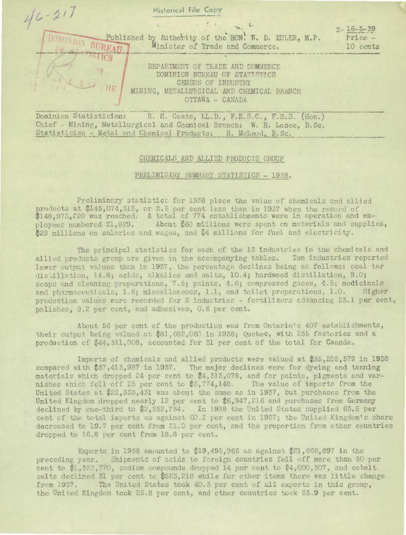46-217 **Historical File Copy**  $2 - 16 - 5 - 39$ Published by Authority of the HON: W. D. EULER, M.P. Price -**BURFAIL** Minister of Trade and Commerce. 10 cents DEPARTMENT OF TRADE AND COMMERCE DOMINION BUREAU OF STATISTICS CENSUS OF INDUSTRY MINING, METALLURGICAL AND CHEMICAL BRANCH OTTAWA - CANADA Dominion Statistician: R. H. Coats, LL.D., F.R.S.C., F.S.S. (Hon.)

Chief - Mining, Metallurgical and Chemical Branch: W. H. Losee, B.Sc. Statistician - Metal and Chemical Products: H. McLeod, B.Sc.

## CHEMICALS AND ALLIED PRODUCTS GROUP

PRELIMINARY SUMMARY STATISTICS - 1938.

Preliminary statistics for 1938 place the value of chemicals and allied products at \$145,074,313, or 2.6 per cent less than in 1937 when the record of \$148,975,220 was reached. A total of 774 establishments were in operation and employees numbered 21,829. About \$60 millions were spent on materials and supplies, \$29 millions on salaries and wages, and \$4 millions for fuel and electricity.

The principal statistics for each of the 13 industries in the chemicals and allied products group are given in the accompanying tables. Ten industries reported lower output values than in 1937, the percentage declines being as follows: coal tar distillation, 14.8; acids, alkalies and salts, 10.4; hardwood distillation, 9.0; soaps and cleaning preparations, 7.5; paints, 4.6; compressed gases, 4.5; medicinals and pharmaceuticals, 1.6; miscellaneous, 1.1, and toilet preparations, 1.0. Higher production values were recorded for 3 industries - fertilizers advancing 23.1 per cent, polishes, 9.2 per cent, and adhesives, 0.6 per cent.

About 56 per cent of the production was from Ontario's 407 establishments, their output being valued at \$81,682,060 in 1938; Quebec, with 235 factories and a production of \$44,311,008, accounted for 31 per cent of the total for Canada.

Imports of chemicals and allied products were valued at \$35,205,579 in 1938 compared with \$37,413,987 in 1937. The major declines were for dyeing and tanning materials which dropped 24 per cent to \$4,313,078, and for paints, pigments and varnishes which fell off 25 per cent to \$3,774,148. The value of imports from the United States at \$22,333,431 was about the same as in 1937, but purchases from the United Kingdom dropped nearly 12 per cent to \$6,947,216 and purchases from Germany declined by one-third to \$2,232,734. In 1938 the United States supplied 63.5 per cent of the total imports as against 60.2 per cent in 1937; the United Kingdom's share decreased to 19.7 per cent from 21.0 per cent, and the proportion from other countries dropped to 16.8 per cent from 18.8 per cent.

Exports in 1938 amounted to  $$19,495,966$  as against  $$21,666,897$  in the preceding year. Shipments of acids to foreign countries fell off more than 50 per cent to \$1,353,770, sodium compounds dropped 14 per cent to \$4,000,307, and cobalt salts declined 31 per cent to \$523,218 while for other items there was little change from 1937. The United States took 40.3 per cent of all exports in this group. the United Kingdom took 25.8 per cent, and other countries took 33.9 per cent.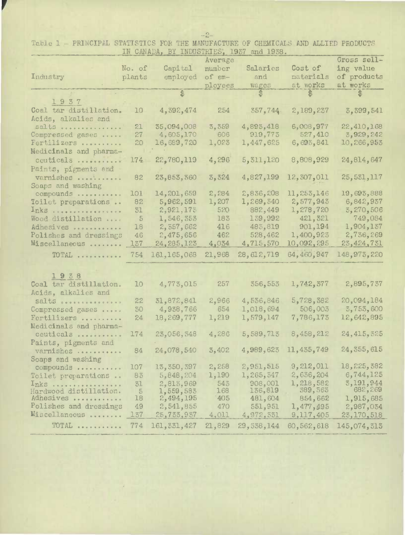$-2-$ 

Table 1 - PRINCIPAL STATISTICS FOR THE MANUFACTURE OF CHEMICALS AND ALLIED PRODUCTS

И

| IN<br>CANADA, BY INDUSTRIES, 1937<br>and 1938. |                 |               |         |                |              |               |  |  |  |
|------------------------------------------------|-----------------|---------------|---------|----------------|--------------|---------------|--|--|--|
|                                                |                 |               | Average |                |              | Gross sell-   |  |  |  |
|                                                | No. of          | Capital       | number  | Salaries       | Cost of      | ing value     |  |  |  |
| Industry                                       | plants          | employed      | of em-  | and            | materials    | of products   |  |  |  |
|                                                |                 |               | ployees | wages          | at works     | at works      |  |  |  |
|                                                |                 |               |         | $\mathfrak{B}$ |              |               |  |  |  |
| 1937                                           |                 |               |         |                |              |               |  |  |  |
| Coal tar distillation.                         | 10              | 4,392,474     | 254     | 357,744        | 2,189,237    | 3,399,541     |  |  |  |
| Acids, alkalies and                            |                 |               |         |                |              |               |  |  |  |
| salts                                          | 21              | 35,094,008    | 3,359   | 4,893,418      | 6,008,977    | 22,410,168    |  |  |  |
| Compressed gases                               | 27              | 4,605,170     | 606     | 919,773        | 527,410      | 3,929,242     |  |  |  |
| Fertilizers                                    | 20              | 16,689,720    | 1,023   | 1,447,625      | 6,693,841    | 10,266,953    |  |  |  |
| Medicinals and pharma-                         |                 |               |         |                |              |               |  |  |  |
| ceuticals                                      | 174             | 22,780,119    | 4,296   | 5,311,120      | 8,808,929    | 24,814,647    |  |  |  |
| Paints, pigments and                           |                 |               |         |                |              |               |  |  |  |
| varnishes                                      | 82              | 23,853,360    | 3,324   | 4,827,199      | 12, 307, 011 | 25,531,117    |  |  |  |
| Soaps and washing                              |                 |               |         |                |              |               |  |  |  |
| compounds                                      | 101             | 14, 201, 659  | 2,284   | 2,836,208      | 11,253,146   | 19,693,888    |  |  |  |
| Toilet preparations                            | 82              | 5,962,591     | 1,207   | 1,269,540      | 2,577,943    | 6,842,937     |  |  |  |
|                                                | 31              | 2,921,173     | 520     | 882,449        | 1,278,720    | 3,270,506     |  |  |  |
| Inks                                           | 5               |               | 183     |                | 421,321      | 749,084       |  |  |  |
| Wood distillation                              |                 | 1,546,353     | 416     | 139,992        |              | 1,904,137     |  |  |  |
| Adhesives                                      | 18              | 2,557,662     |         | 483,819        | 901,194      |               |  |  |  |
| Polishes and dressings                         | 46              | 2,475,656     | 462     | 528,462        | 1,400,923    | 2,736,269     |  |  |  |
| Miscellaneous                                  | 137             | 24, 285, 123  | 4,034   | 4,715,570      | 10,092,295   | 23, 424, 731  |  |  |  |
| TOTAL                                          | 754             | 161, 165, 068 | 21,968  | 28, 612, 719   | 64,460,947   | 148, 973, 220 |  |  |  |
|                                                |                 |               |         |                |              |               |  |  |  |
| 1938                                           |                 |               |         |                |              |               |  |  |  |
| Coal tar distillation.                         | 10              | 4,773,015     | 257     | 356,553        | 1,742,377    | 2,895,737     |  |  |  |
| Acids, alkalies and                            |                 |               |         |                |              |               |  |  |  |
| Salts occoccoccoccoco                          | 22              | 31,872,841    | 2,966   | 4,536,846      | 5,728,382    | 20,094,184    |  |  |  |
| Compressed gases                               | 30 <sub>o</sub> | 4,938,766     | 654     | 1,018,694      | 506,003      | 3,753,600     |  |  |  |
| Fertilizers                                    | 24              | 18,269,777    | 1,219   | 1,579,147      | 7,786,173    | 12,642,895    |  |  |  |
| Medicinals and pharma-                         |                 |               |         |                |              |               |  |  |  |
| ceuticals                                      | 174             | 23,056,348    | 4,286   | 5,589,713      | 8,458,212    | 24,415,325    |  |  |  |
| Paints, pigments and                           |                 |               |         |                |              |               |  |  |  |
| varnishes                                      | 84              | 24,078,540    | 3,402   | 4,989,623      | 11,435,749   | 24,355,615    |  |  |  |
| Soaps and washing                              |                 |               |         |                |              |               |  |  |  |
| compounds                                      | 107             | 13, 350, 397  | 2,258   | 2,951,515      | 9,212,011    | 18,225,382    |  |  |  |
| Toilet preparations                            | 83              | 5,848,204     | 1,190   | 1,265,347      | 2,636,204    | 6,744,125     |  |  |  |
| Inks                                           | 31              | 2,813,969     | 543     | 908,001        | 1,218,582    | 3,191,944     |  |  |  |
| Hardwood distillation.                         | 5               | 1,559,583     | 168     | 136,819        | 389, 363     | 682,269       |  |  |  |
| Adhesives                                      | <b>18</b>       | 2,494,195     | 405     | 481,604        | 854,662      | 1,915,685     |  |  |  |
| Polishes and dressings                         | 49              | 2,541,855     | 470     | 551,951        | 1,477,495    | 2,987,034     |  |  |  |
| Miscellaneous                                  | <u>137</u>      | 25,733,937    | 4,011   | 4,972,331      | 9,117,405    | 23,170,518    |  |  |  |
| TOTAL                                          | 774             | 161, 331, 427 | 21,829  | 29, 338, 144   | 60,562,618   | 145,074,313   |  |  |  |
|                                                |                 |               |         |                |              |               |  |  |  |

 $\lambda$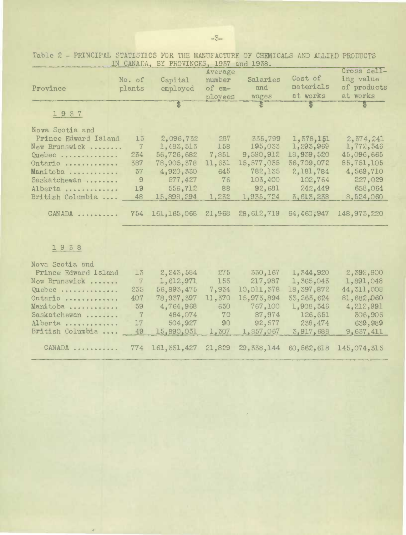|                      |                 |                   | Average |              |              | Gross sell-  |
|----------------------|-----------------|-------------------|---------|--------------|--------------|--------------|
|                      | No. of          | Capital           | number  | Salaries     | Cost of      | ing value    |
| Province             | plants          | employed          | of em-  | and          | materials    | of products  |
|                      |                 |                   | ployees | wages        | at works     | at works     |
|                      |                 |                   |         | S            | $\mathbf{s}$ | 36.          |
| 1937                 |                 |                   |         |              |              |              |
| Nova Scotia and      |                 |                   |         |              |              |              |
| Prince Edward Island | 13              | 2,096,732         | 287     | 335,799      | 1,378,151    | 2,374,241    |
| New Brunswick        | 7               | 1,483,513         | 158     | 195,033      | 1,293,969    | 1,772,546    |
| Quebec               | 234             | 56,726,682        | 7,851   | 9,590,912    | 18,939,520   | 45,096,665   |
| Ontario              | 387             | 78,905,378        | 11,631  | 15,577,035   | 36,709,072   | 85,751,105   |
| Manitoba             | 37              | 4,920,330         | 645     | 782,135      | 2,181,784    | 4,569,710    |
| Saskatchewan         | 9               | 577,427           | 76      | 103,400      | 102,764      | 227,029      |
| Alberta              | 19              | 556,712           | 88      | 92,681       | 242,449      | 658,064      |
| British Columbia     | 48              | 15,898,294        | 1,232   | 1,935,724    | 3,613,238    | 8,524,060    |
| CANADA               |                 | 754 161, 165, 068 | 21,968  | 28, 612, 719 | 64,460,947   | 148,973,220  |
|                      |                 |                   |         |              |              |              |
| 1938                 |                 |                   |         |              |              |              |
| Nova Scotia and      |                 |                   |         |              |              |              |
| Prince Edward Island | 13              | 2,245,584         | 275     | 330,167      | 1,344,920    | 2,392,900    |
| New Brunswick        | $7\phantom{.}$  | 1,612,971         | 153     | 217,987      | 1,365,043    | 1,891,048    |
| Quebec               | 235             | 56,893,475        | 7,934   | 10,011,378   | 18,397,872   | 44, 311, 008 |
| Ontario              | 407             | 78,937,397        | 11,370  | 15,973,894   | 33, 263, 624 | 81,682,060   |
| Manitoba             | 39              | 4,764,968         | 630     | 767,100      | 1,908,346    | 4, 212, 991  |
| Saskatchewan         | $7\phantom{.0}$ | 484,074           | 70      | 87,974       | 126,651      | 306,906      |
| Alberta              | 17              | 504,927           | 90      | 92,577       | 238,474      | 639,989      |

Table 2 - PRINCIPAL STATISTICS FOR THE MANUFACTURE OF CHEMICALS AND ALLIED PRODUCTS IN CANADA, BY PROVINCES, 1937 and 1938.

## British Columbia 49 15,890,031 1,307 1,857,067 3,917,688 9,637,411 CANADA ...........774 161,331,427 21,829 29,338,144 60,562,618 145,074,313

 $\hat{\eta}$